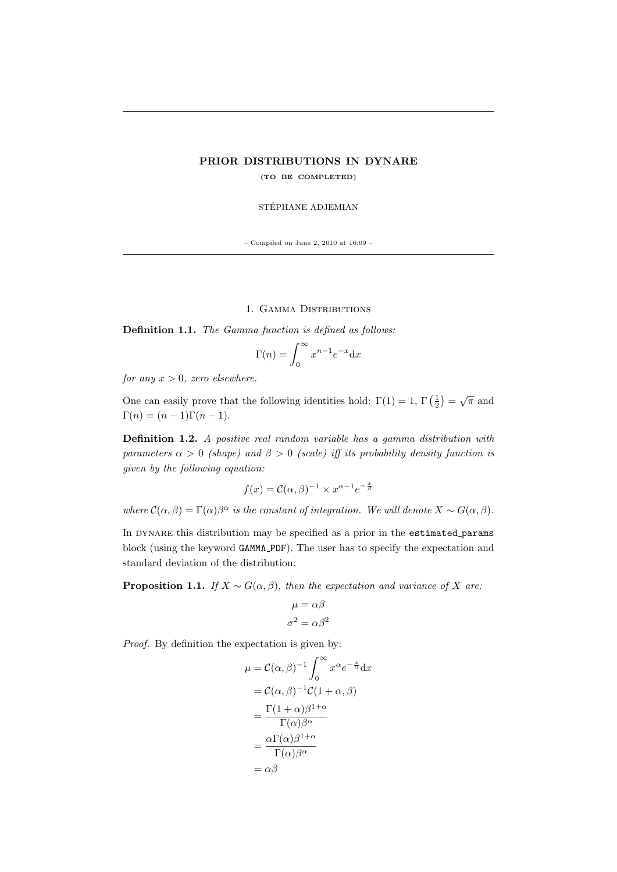# PRIOR DISTRIBUTIONS IN DYNARE (TO BE COMPLETED)

STÉPHANE ADJEMIAN

– Compiled on June 2, 2010 at  $16:09$  –  $\,$ 

1. Gamma Distributions

Definition 1.1. The Gamma function is defined as follows:

$$
\Gamma(n) = \int_0^\infty x^{n-1} e^{-x} \mathrm{d}x
$$

for any  $x > 0$ , zero elsewhere.

One can easily prove that the following identities hold:  $\Gamma(1) = 1$ ,  $\Gamma(\frac{1}{2}) = \sqrt{\pi}$  and  $\Gamma(n) = (n-1)\Gamma(n-1).$ 

Definition 1.2. A positive real random variable has a gamma distribution with parameters  $\alpha > 0$  (shape) and  $\beta > 0$  (scale) iff its probability density function is given by the following equation:

$$
f(x) = \mathcal{C}(\alpha, \beta)^{-1} \times x^{\alpha - 1} e^{-\frac{x}{\beta}}
$$

where  $\mathcal{C}(\alpha,\beta) = \Gamma(\alpha)\beta^{\alpha}$  is the constant of integration. We will denote  $X \sim G(\alpha,\beta)$ .

In DYNARE this distribution may be specified as a prior in the estimated params block (using the keyword GAMMA PDF). The user has to specify the expectation and standard deviation of the distribution.

<span id="page-0-0"></span>**Proposition 1.1.** If  $X \sim G(\alpha, \beta)$ , then the expectation and variance of X are:

$$
\mu = \alpha \beta
$$

$$
\sigma^2 = \alpha \beta^2
$$

Proof. By definition the expectation is given by:

$$
\mu = C(\alpha, \beta)^{-1} \int_0^\infty x^{\alpha} e^{-\frac{x}{\beta}} dx
$$

$$
= C(\alpha, \beta)^{-1} C(1 + \alpha, \beta)
$$

$$
= \frac{\Gamma(1 + \alpha)\beta^{1+\alpha}}{\Gamma(\alpha)\beta^{\alpha}}
$$

$$
= \frac{\alpha \Gamma(\alpha)\beta^{1+\alpha}}{\Gamma(\alpha)\beta^{\alpha}}
$$

$$
= \alpha\beta
$$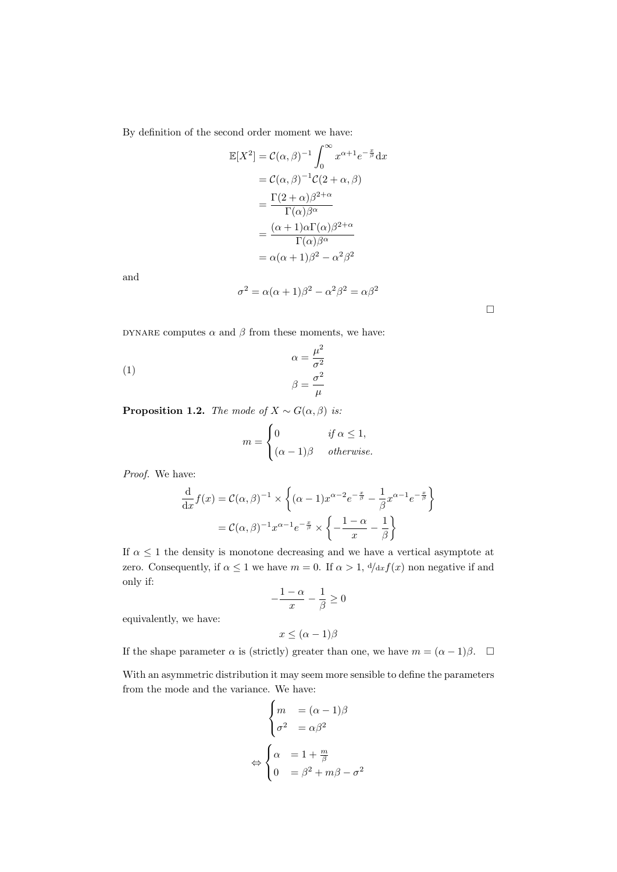By definition of the second order moment we have:

$$
\mathbb{E}[X^2] = \mathcal{C}(\alpha, \beta)^{-1} \int_0^\infty x^{\alpha+1} e^{-\frac{x}{\beta}} dx
$$
  
\n
$$
= \mathcal{C}(\alpha, \beta)^{-1} \mathcal{C}(2+\alpha, \beta)
$$
  
\n
$$
= \frac{\Gamma(2+\alpha)\beta^{2+\alpha}}{\Gamma(\alpha)\beta^{\alpha}}
$$
  
\n
$$
= \frac{(\alpha+1)\alpha\Gamma(\alpha)\beta^{2+\alpha}}{\Gamma(\alpha)\beta^{\alpha}}
$$
  
\n
$$
= \alpha(\alpha+1)\beta^2 - \alpha^2\beta^2
$$

and

$$
\sigma^2 = \alpha(\alpha + 1)\beta^2 - \alpha^2\beta^2 = \alpha\beta^2
$$

 $\Box$ 

<code>DYNARE</code> computes  $\alpha$  and  $\beta$  from these moments, we have:

(1) 
$$
\alpha = \frac{\mu^2}{\sigma^2}
$$

$$
\beta = \frac{\sigma^2}{\mu}
$$

**Proposition 1.2.** The mode of  $X \sim G(\alpha, \beta)$  is:

$$
m = \begin{cases} 0 & \text{if } \alpha \le 1, \\ (\alpha - 1)\beta & otherwise. \end{cases}
$$

Proof. We have:

$$
\frac{d}{dx}f(x) = C(\alpha, \beta)^{-1} \times \left\{ (\alpha - 1)x^{\alpha - 2}e^{-\frac{x}{\beta}} - \frac{1}{\beta}x^{\alpha - 1}e^{-\frac{x}{\beta}} \right\}
$$

$$
= C(\alpha, \beta)^{-1}x^{\alpha - 1}e^{-\frac{x}{\beta}} \times \left\{ -\frac{1 - \alpha}{x} - \frac{1}{\beta} \right\}
$$

If  $\alpha \leq 1$  the density is monotone decreasing and we have a vertical asymptote at zero. Consequently, if  $\alpha \leq 1$  we have  $m = 0$ . If  $\alpha > 1$ ,  $\frac{d}{dx}f(x)$  non negative if and only if:

$$
-\frac{1-\alpha}{x} - \frac{1}{\beta} \ge 0
$$

equivalently, we have:

$$
x \leq (\alpha - 1)\beta
$$

If the shape parameter  $\alpha$  is (strictly) greater than one, we have  $m = (\alpha - 1)\beta$ .  $\Box$ 

With an asymmetric distribution it may seem more sensible to define the parameters from the mode and the variance. We have:

 $\lambda$ 

$$
\begin{cases}\nm &= (\alpha - 1)\beta \\
\sigma^2 &= \alpha\beta^2\n\end{cases}
$$
\n
$$
\Leftrightarrow \begin{cases}\n\alpha &= 1 + \frac{m}{\beta} \\
0 &= \beta^2 + m\beta - \sigma^2\n\end{cases}
$$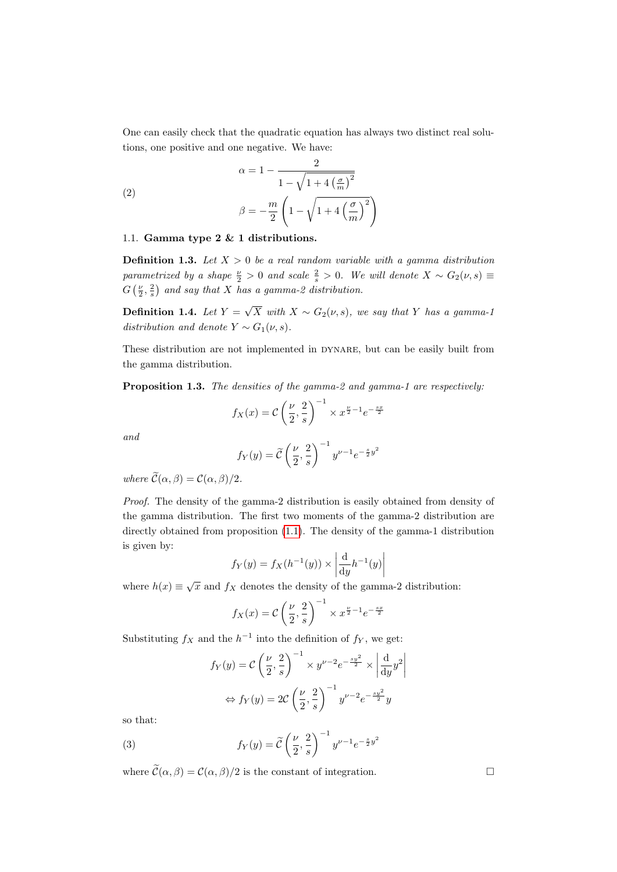One can easily check that the quadratic equation has always two distinct real solutions, one positive and one negative. We have:

(2)  

$$
\alpha = 1 - \frac{2}{1 - \sqrt{1 + 4\left(\frac{\sigma}{m}\right)^2}}
$$

$$
\beta = -\frac{m}{2} \left(1 - \sqrt{1 + 4\left(\frac{\sigma}{m}\right)^2}\right)
$$

### 1.1. Gamma type 2 & 1 distributions.

**Definition 1.3.** Let  $X > 0$  be a real random variable with a gamma distribution parametrized by a shape  $\frac{\nu}{2} > 0$  and scale  $\frac{2}{s} > 0$ . We will denote  $X \sim G_2(\nu, s) \equiv$  $G\left(\frac{\nu}{2},\frac{2}{s}\right)$  and say that X has a gamma-2 distribution.

Definition 1.4. Let  $Y =$ √  $X$  with  $X \sim G_2(\nu, s)$ , we say that Y has a gamma-1 distribution and denote  $Y \sim G_1(\nu, s)$ .

These distribution are not implemented in DYNARE, but can be easily built from the gamma distribution.

Proposition 1.3. The densities of the gamma-2 and gamma-1 are respectively:

$$
f_X(x) = C\left(\frac{\nu}{2}, \frac{2}{s}\right)^{-1} \times x^{\frac{\nu}{2}-1}e^{-\frac{sx}{2}}
$$

and

$$
f_Y(y) = \widetilde{C}\left(\frac{\nu}{2}, \frac{2}{s}\right)^{-1} y^{\nu - 1} e^{-\frac{s}{2}y^2}
$$

where  $\widetilde{\mathcal{C}}(\alpha, \beta) = \mathcal{C}(\alpha, \beta)/2$ .

Proof. The density of the gamma-2 distribution is easily obtained from density of the gamma distribution. The first two moments of the gamma-2 distribution are directly obtained from proposition [\(1.1\)](#page-0-0). The density of the gamma-1 distribution is given by:

$$
f_Y(y) = f_X(h^{-1}(y)) \times \left| \frac{\mathrm{d}}{\mathrm{d}y} h^{-1}(y) \right|
$$

where  $h(x) \equiv \sqrt{x}$  and  $f_X$  denotes the density of the gamma-2 distribution:

$$
f_X(x) = C\left(\frac{\nu}{2}, \frac{2}{s}\right)^{-1} \times x^{\frac{\nu}{2}-1} e^{-\frac{s\pi}{2}}
$$

Substituting  $f_X$  and the  $h^{-1}$  into the definition of  $f_Y$ , we get:

$$
f_Y(y) = C\left(\frac{\nu}{2}, \frac{2}{s}\right)^{-1} \times y^{\nu - 2} e^{-\frac{sy^2}{2}} \times \left|\frac{d}{dy}y^2\right|
$$

$$
\Leftrightarrow f_Y(y) = 2C\left(\frac{\nu}{2}, \frac{2}{s}\right)^{-1} y^{\nu - 2} e^{-\frac{sy^2}{2}} y
$$

so that:

(3) 
$$
f_Y(y) = \tilde{C} \left(\frac{\nu}{2}, \frac{2}{s}\right)^{-1} y^{\nu - 1} e^{-\frac{s}{2}y^2}
$$

where  $\widetilde{\mathcal{C}}(\alpha, \beta) = \mathcal{C}(\alpha, \beta)/2$  is the constant of integration.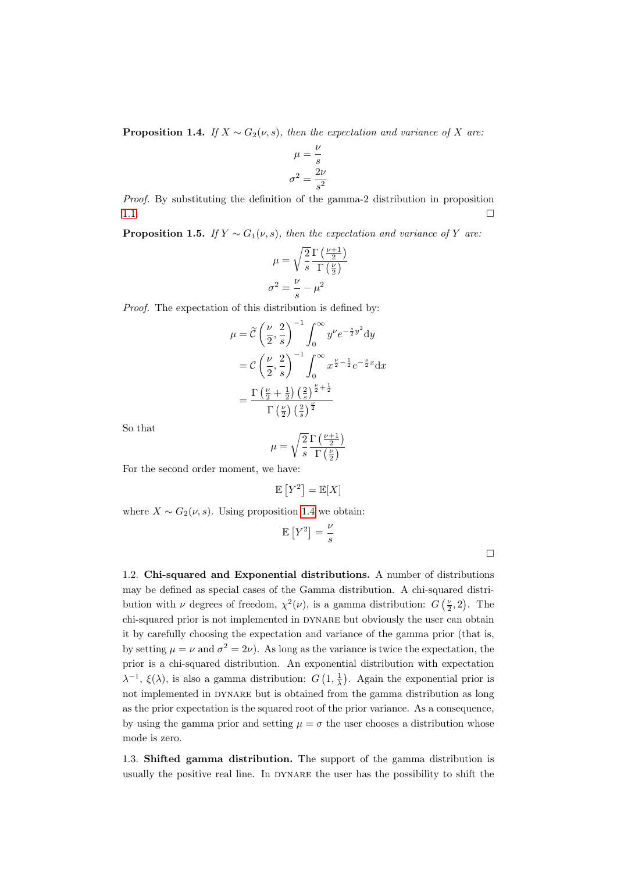<span id="page-3-0"></span>**Proposition 1.4.** If  $X \sim G_2(\nu, s)$ , then the expectation and variance of X are:

$$
\mu = \frac{\nu}{s}
$$

$$
\sigma^2 = \frac{2\nu}{s^2}
$$

Proof. By substituting the definition of the gamma-2 distribution in proposition [1.1.](#page-0-0)

**Proposition 1.5.** If  $Y \sim G_1(\nu, s)$ , then the expectation and variance of Y are:

$$
\mu = \sqrt{\frac{2}{s}} \frac{\Gamma\left(\frac{\nu+1}{2}\right)}{\Gamma\left(\frac{\nu}{2}\right)}
$$

$$
\sigma^2 = \frac{\nu}{s} - \mu^2
$$

Proof. The expectation of this distribution is defined by:

$$
\mu = \widetilde{\mathcal{C}} \left( \frac{\nu}{2}, \frac{2}{s} \right)^{-1} \int_0^\infty y^\nu e^{-\frac{s}{2} y^2} dy
$$

$$
= \mathcal{C} \left( \frac{\nu}{2}, \frac{2}{s} \right)^{-1} \int_0^\infty x^{\frac{\nu}{2} - \frac{1}{2}} e^{-\frac{s}{2} x} dx
$$

$$
= \frac{\Gamma \left( \frac{\nu}{2} + \frac{1}{2} \right) \left( \frac{2}{s} \right)^{\frac{\nu}{2} + \frac{1}{2}}}{\Gamma \left( \frac{\nu}{2} \right) \left( \frac{2}{s} \right)^{\frac{\nu}{2}}}
$$

So that

$$
\mu = \sqrt{\frac{2}{s}} \frac{\Gamma\left(\frac{\nu+1}{2}\right)}{\Gamma\left(\frac{\nu}{2}\right)}
$$

For the second order moment, we have:

$$
\mathbb{E}\left[Y^2\right]=\mathbb{E}[X]
$$

where  $X \sim G_2(\nu, s)$ . Using proposition [1.4](#page-3-0) we obtain:

$$
\mathbb{E}\left[Y^2\right] = \frac{\nu}{s}
$$

 $\Box$ 

1.2. Chi-squared and Exponential distributions. A number of distributions may be defined as special cases of the Gamma distribution. A chi-squared distribution with  $\nu$  degrees of freedom,  $\chi^2(\nu)$ , is a gamma distribution:  $G\left(\frac{\nu}{2},2\right)$ . The chi-squared prior is not implemented in DYNARE but obviously the user can obtain it by carefully choosing the expectation and variance of the gamma prior (that is, by setting  $\mu = \nu$  and  $\sigma^2 = 2\nu$ ). As long as the variance is twice the expectation, the prior is a chi-squared distribution. An exponential distribution with expectation  $\lambda^{-1}$ ,  $\xi(\lambda)$ , is also a gamma distribution:  $G\left(1, \frac{1}{\lambda}\right)$ . Again the exponential prior is not implemented in DYNARE but is obtained from the gamma distribution as long as the prior expectation is the squared root of the prior variance. As a consequence, by using the gamma prior and setting  $\mu = \sigma$  the user chooses a distribution whose mode is zero.

1.3. Shifted gamma distribution. The support of the gamma distribution is usually the positive real line. In dynare the user has the possibility to shift the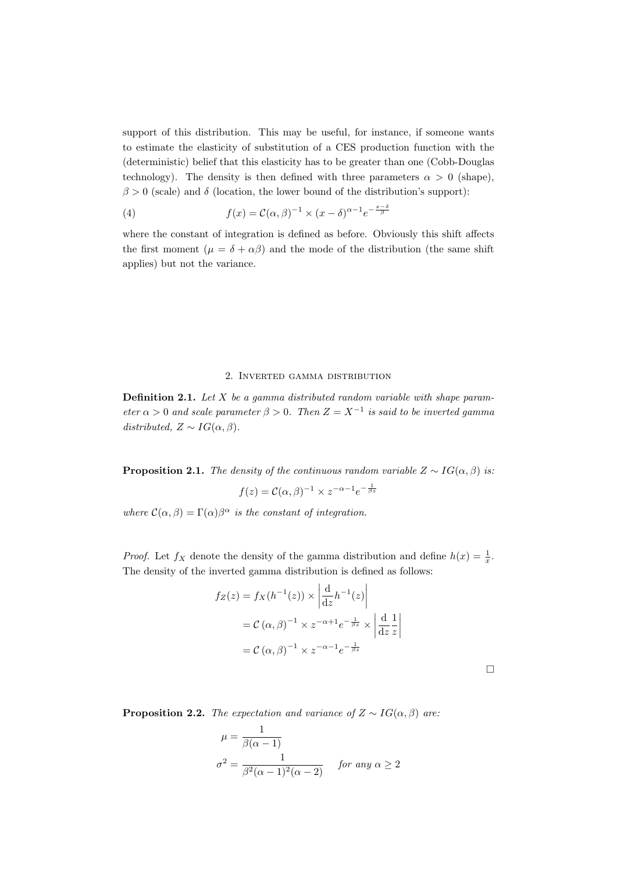support of this distribution. This may be useful, for instance, if someone wants to estimate the elasticity of substitution of a CES production function with the (deterministic) belief that this elasticity has to be greater than one (Cobb-Douglas technology). The density is then defined with three parameters  $\alpha > 0$  (shape),  $\beta > 0$  (scale) and  $\delta$  (location, the lower bound of the distribution's support):

(4) 
$$
f(x) = \mathcal{C}(\alpha, \beta)^{-1} \times (x - \delta)^{\alpha - 1} e^{-\frac{x - \delta}{\beta}}
$$

where the constant of integration is defined as before. Obviously this shift affects the first moment ( $\mu = \delta + \alpha \beta$ ) and the mode of the distribution (the same shift applies) but not the variance.

### 2. Inverted gamma distribution

**Definition 2.1.** Let  $X$  be a gamma distributed random variable with shape parameter  $\alpha > 0$  and scale parameter  $\beta > 0$ . Then  $Z = X^{-1}$  is said to be inverted gamma distributed,  $Z \sim IG(\alpha, \beta)$ .

<span id="page-4-0"></span>**Proposition 2.1.** The density of the continuous random variable  $Z \sim IG(\alpha, \beta)$  is:

$$
f(z) = \mathcal{C}(\alpha, \beta)^{-1} \times z^{-\alpha - 1} e^{-\frac{1}{\beta z}}
$$

where  $\mathcal{C}(\alpha, \beta) = \Gamma(\alpha)\beta^{\alpha}$  is the constant of integration.

*Proof.* Let  $f_X$  denote the density of the gamma distribution and define  $h(x) = \frac{1}{x}$ . The density of the inverted gamma distribution is defined as follows:

$$
f_Z(z) = f_X(h^{-1}(z)) \times \left| \frac{d}{dz} h^{-1}(z) \right|
$$
  
=  $C(\alpha, \beta)^{-1} \times z^{-\alpha+1} e^{-\frac{1}{\beta z}} \times \left| \frac{d}{dz} \frac{1}{z} \right|$   
=  $C(\alpha, \beta)^{-1} \times z^{-\alpha-1} e^{-\frac{1}{\beta z}}$ 

<span id="page-4-1"></span>**Proposition 2.2.** The expectation and variance of  $Z \sim IG(\alpha, \beta)$  are:

$$
\mu = \frac{1}{\beta(\alpha - 1)}
$$
  

$$
\sigma^2 = \frac{1}{\beta^2(\alpha - 1)^2(\alpha - 2)} \quad \text{for any } \alpha \ge 2
$$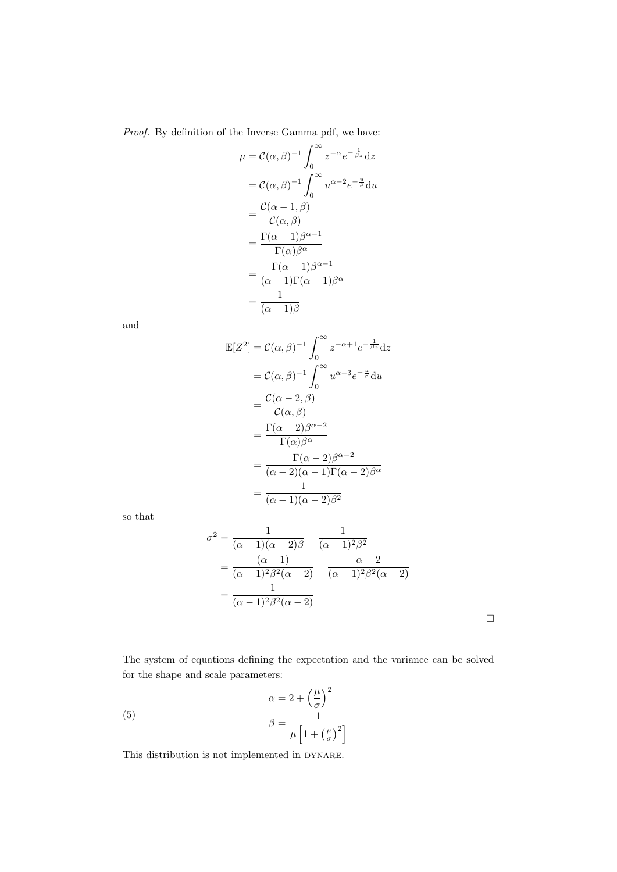Proof. By definition of the Inverse Gamma pdf, we have:

$$
\mu = C(\alpha, \beta)^{-1} \int_0^\infty z^{-\alpha} e^{-\frac{1}{\beta z}} dz
$$
  
\n
$$
= C(\alpha, \beta)^{-1} \int_0^\infty u^{\alpha-2} e^{-\frac{u}{\beta}} du
$$
  
\n
$$
= \frac{C(\alpha - 1, \beta)}{C(\alpha, \beta)}
$$
  
\n
$$
= \frac{\Gamma(\alpha - 1)\beta^{\alpha - 1}}{\Gamma(\alpha)\beta^{\alpha}}
$$
  
\n
$$
= \frac{\Gamma(\alpha - 1)\beta^{\alpha - 1}}{(\alpha - 1)\Gamma(\alpha - 1)\beta^{\alpha}}
$$
  
\n
$$
= \frac{1}{(\alpha - 1)\beta}
$$

and

$$
\mathbb{E}[Z^2] = \mathcal{C}(\alpha, \beta)^{-1} \int_0^\infty z^{-\alpha+1} e^{-\frac{1}{\beta z}} dz
$$
  
\n
$$
= \mathcal{C}(\alpha, \beta)^{-1} \int_0^\infty u^{\alpha-3} e^{-\frac{u}{\beta}} du
$$
  
\n
$$
= \frac{\mathcal{C}(\alpha-2, \beta)}{\mathcal{C}(\alpha, \beta)}
$$
  
\n
$$
= \frac{\Gamma(\alpha-2)\beta^{\alpha-2}}{\Gamma(\alpha)\beta^{\alpha}}
$$
  
\n
$$
= \frac{\Gamma(\alpha-2)\beta^{\alpha-2}}{(\alpha-2)(\alpha-1)\Gamma(\alpha-2)\beta^{\alpha}}
$$
  
\n
$$
= \frac{1}{(\alpha-1)(\alpha-2)\beta^2}
$$

so that

$$
\sigma^{2} = \frac{1}{(\alpha - 1)(\alpha - 2)\beta} - \frac{1}{(\alpha - 1)^{2}\beta^{2}}
$$
  
= 
$$
\frac{(\alpha - 1)}{(\alpha - 1)^{2}\beta^{2}(\alpha - 2)} - \frac{\alpha - 2}{(\alpha - 1)^{2}\beta^{2}(\alpha - 2)}
$$
  
= 
$$
\frac{1}{(\alpha - 1)^{2}\beta^{2}(\alpha - 2)}
$$

 $\Box$ 

The system of equations defining the expectation and the variance can be solved for the shape and scale parameters:

(5) 
$$
\alpha = 2 + \left(\frac{\mu}{\sigma}\right)^2
$$

$$
\beta = \frac{1}{\mu \left[1 + \left(\frac{\mu}{\sigma}\right)^2\right]}
$$

This distribution is not implemented in DYNARE.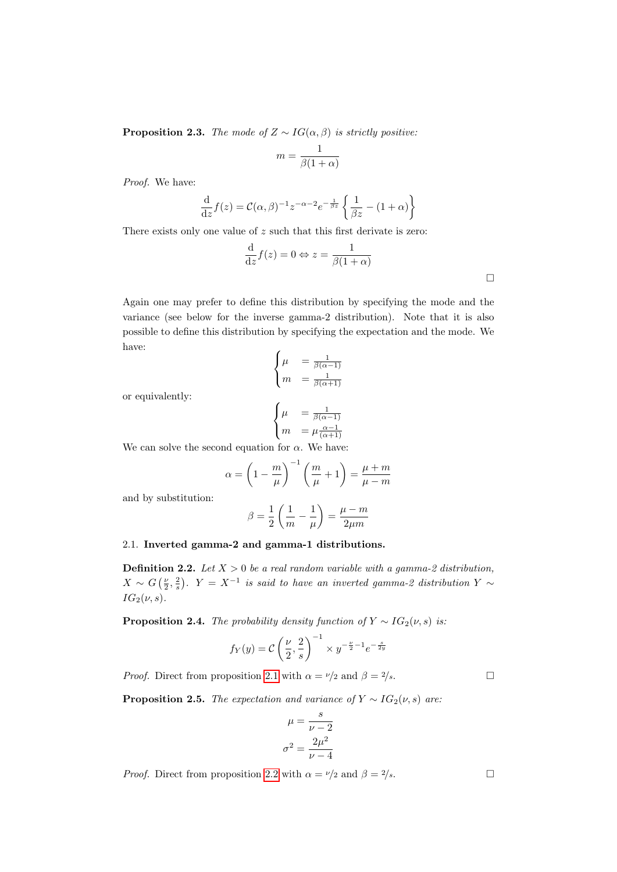**Proposition 2.3.** The mode of  $Z \sim IG(\alpha, \beta)$  is strictly positive:

$$
m = \frac{1}{\beta(1+\alpha)}
$$

Proof. We have:

$$
\frac{\mathrm{d}}{\mathrm{d}z}f(z) = \mathcal{C}(\alpha, \beta)^{-1} z^{-\alpha - 2} e^{-\frac{1}{\beta z}} \left\{ \frac{1}{\beta z} - (1 + \alpha) \right\}
$$

There exists only one value of z such that this first derivate is zero:

$$
\frac{\mathrm{d}}{\mathrm{d}z}f(z) = 0 \Leftrightarrow z = \frac{1}{\beta(1+\alpha)}
$$

Again one may prefer to define this distribution by specifying the mode and the variance (see below for the inverse gamma-2 distribution). Note that it is also possible to define this distribution by specifying the expectation and the mode. We have:

$$
\begin{cases} \mu = \frac{1}{\beta(\alpha - 1)} \\ m = \frac{1}{\beta(\alpha + 1)} \end{cases}
$$

or equivalently:

$$
\begin{cases} \mu &= \frac{1}{\beta(\alpha-1)} \\ m &= \mu \frac{\alpha-1}{(\alpha+1)} \end{cases}
$$

We can solve the second equation for  $\alpha$ . We have:

$$
\alpha = \left(1 - \frac{m}{\mu}\right)^{-1} \left(\frac{m}{\mu} + 1\right) = \frac{\mu + m}{\mu - m}
$$

and by substitution:

$$
\beta = \frac{1}{2}\left(\frac{1}{m} - \frac{1}{\mu}\right) = \frac{\mu - m}{2\mu m}
$$

## 2.1. Inverted gamma-2 and gamma-1 distributions.

**Definition 2.2.** Let  $X > 0$  be a real random variable with a gamma-2 distribution,  $X \sim G\left(\frac{\nu}{2}, \frac{2}{s}\right)$ .  $Y = X^{-1}$  is said to have an inverted gamma-2 distribution  $Y \sim$  $IG_2(\nu, s)$ .

**Proposition 2.4.** The probability density function of  $Y \sim IG_2(\nu, s)$  is:

$$
f_Y(y) = C\left(\frac{\nu}{2}, \frac{2}{s}\right)^{-1} \times y^{-\frac{\nu}{2}-1}e^{-\frac{s}{2y}}
$$

*Proof.* Direct from proposition [2.1](#page-4-0) with  $\alpha = \nu/2$  and  $\beta = 2/s$ .

<span id="page-6-0"></span>**Proposition 2.5.** The expectation and variance of  $Y \sim IG_2(\nu, s)$  are:

$$
\mu = \frac{s}{\nu - 2}
$$

$$
\sigma^2 = \frac{2\mu^2}{\nu - 4}
$$

*Proof.* Direct from proposition [2.2](#page-4-1) with  $\alpha = \nu/2$  and  $\beta = 2/s$ .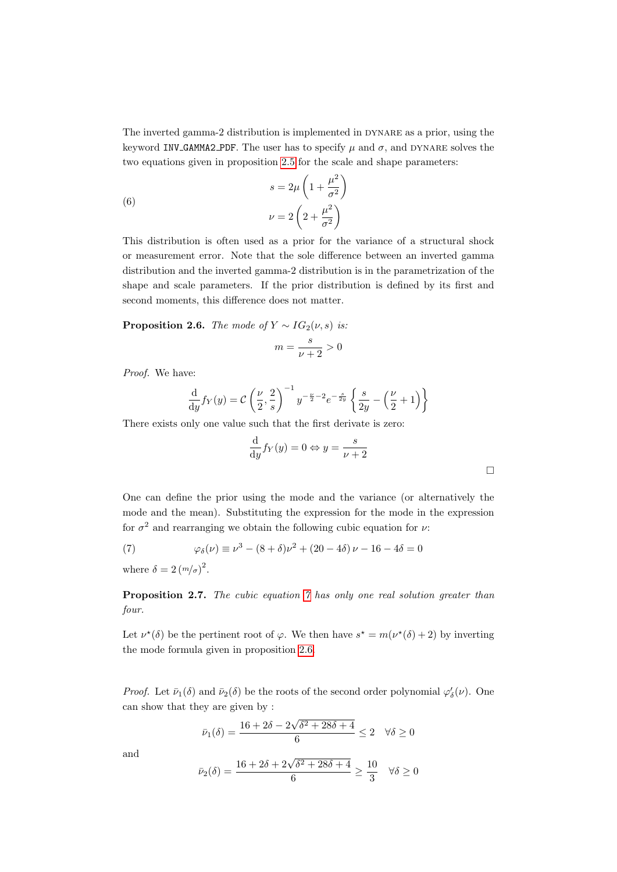The inverted gamma-2 distribution is implemented in dynare as a prior, using the keyword INV GAMMA2 PDF. The user has to specify  $\mu$  and  $\sigma$ , and DYNARE solves the two equations given in proposition [2.5](#page-6-0) for the scale and shape parameters:

(6)  

$$
s = 2\mu \left(1 + \frac{\mu^2}{\sigma^2}\right)
$$

$$
\nu = 2\left(2 + \frac{\mu^2}{\sigma^2}\right)
$$

This distribution is often used as a prior for the variance of a structural shock or measurement error. Note that the sole difference between an inverted gamma distribution and the inverted gamma-2 distribution is in the parametrization of the shape and scale parameters. If the prior distribution is defined by its first and second moments, this difference does not matter.

<span id="page-7-1"></span>**Proposition 2.6.** The mode of  $Y \sim IG_2(\nu, s)$  is:

$$
m = \frac{s}{\nu + 2} > 0
$$

Proof. We have:

$$
\frac{\mathrm{d}}{\mathrm{d}y} f_Y(y) = C \left( \frac{\nu}{2}, \frac{2}{s} \right)^{-1} y^{-\frac{\nu}{2} - 2} e^{-\frac{s}{2y}} \left\{ \frac{s}{2y} - \left( \frac{\nu}{2} + 1 \right) \right\}
$$

There exists only one value such that the first derivate is zero:

$$
\frac{\mathrm{d}}{\mathrm{d}y} f_Y(y) = 0 \Leftrightarrow y = \frac{s}{\nu + 2}
$$

One can define the prior using the mode and the variance (or alternatively the mode and the mean). Substituting the expression for the mode in the expression for  $\sigma^2$  and rearranging we obtain the following cubic equation for  $\nu$ :

<span id="page-7-0"></span>(7) 
$$
\varphi_{\delta}(\nu) \equiv \nu^3 - (8+\delta)\nu^2 + (20-4\delta)\nu - 16 - 4\delta = 0
$$

where  $\delta = 2 (m/\sigma)^2$ .

Proposition 2.7. The cubic equation [7](#page-7-0) has only one real solution greater than four.

Let  $\nu^*(\delta)$  be the pertinent root of  $\varphi$ . We then have  $s^* = m(\nu^*(\delta) + 2)$  by inverting the mode formula given in proposition [2.6.](#page-7-1)

*Proof.* Let  $\bar{\nu}_1(\delta)$  and  $\bar{\nu}_2(\delta)$  be the roots of the second order polynomial  $\varphi'_\delta(\nu)$ . One can show that they are given by :

$$
\bar{\nu}_1(\delta) = \frac{16 + 2\delta - 2\sqrt{\delta^2 + 28\delta + 4}}{6} \le 2 \quad \forall \delta \ge 0
$$

and

$$
\bar{\nu}_2(\delta) = \frac{16 + 2\delta + 2\sqrt{\delta^2 + 28\delta + 4}}{6} \ge \frac{10}{3} \quad \forall \delta \ge 0
$$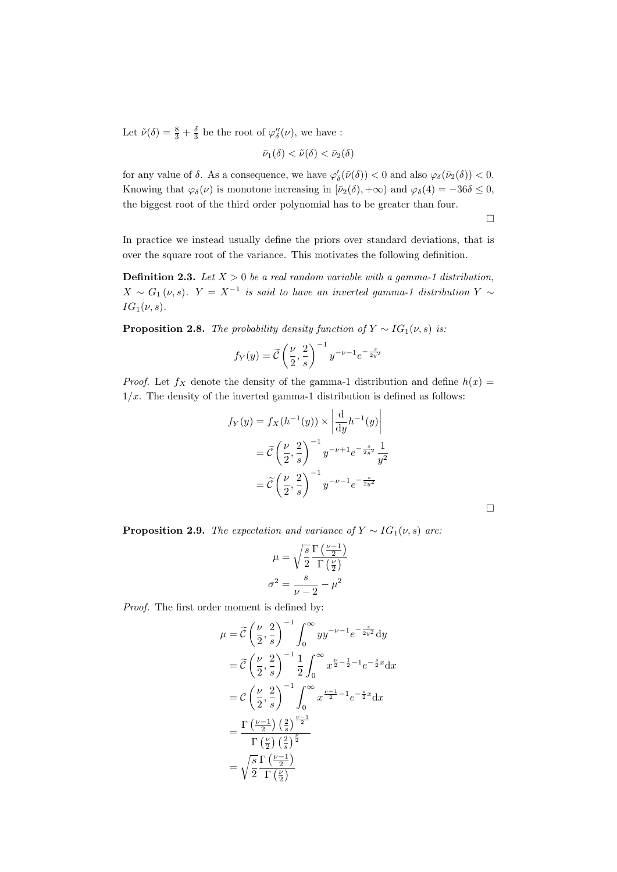Let  $\tilde{\nu}(\delta) = \frac{8}{3} + \frac{\delta}{3}$  be the root of  $\varphi''_{\delta}(\nu)$ , we have :

$$
\bar{\nu}_1(\delta) < \tilde{\nu}(\delta) < \bar{\nu}_2(\delta)
$$

for any value of  $\delta$ . As a consequence, we have  $\varphi'_\delta(\tilde{\nu}(\delta)) < 0$  and also  $\varphi_\delta(\bar{\nu}_2(\delta)) < 0$ . Knowing that  $\varphi_{\delta}(\nu)$  is monotone increasing in  $[\bar{\nu}_{2}(\delta), +\infty)$  and  $\varphi_{\delta}(4) = -36\delta \leq 0$ , the biggest root of the third order polynomial has to be greater than four.

 $\Box$ 

In practice we instead usually define the priors over standard deviations, that is over the square root of the variance. This motivates the following definition.

**Definition 2.3.** Let  $X > 0$  be a real random variable with a gamma-1 distribution,  $X \sim G_1(\nu, s)$ .  $Y = X^{-1}$  is said to have an inverted gamma-1 distribution  $Y \sim$  $IG_1(\nu, s)$ .

**Proposition 2.8.** The probability density function of  $Y \sim IG_1(\nu, s)$  is:

$$
f_Y(y) = \widetilde{C}\left(\frac{\nu}{2}, \frac{2}{s}\right)^{-1} y^{-\nu - 1} e^{-\frac{s}{2y^2}}
$$

*Proof.* Let  $f_X$  denote the density of the gamma-1 distribution and define  $h(x)$  =  $1/x$ . The density of the inverted gamma-1 distribution is defined as follows:

$$
f_Y(y) = f_X(h^{-1}(y)) \times \left| \frac{d}{dy} h^{-1}(y) \right|
$$
  
=  $\widetilde{C} \left( \frac{\nu}{2}, \frac{2}{s} \right)^{-1} y^{-\nu+1} e^{-\frac{s}{2y^2}} \frac{1}{y^2}$   
=  $\widetilde{C} \left( \frac{\nu}{2}, \frac{2}{s} \right)^{-1} y^{-\nu-1} e^{-\frac{s}{2y^2}}$ 

<span id="page-8-0"></span>**Proposition 2.9.** The expectation and variance of  $Y \sim IG_1(\nu, s)$  are:

$$
\mu = \sqrt{\frac{s}{2}} \frac{\Gamma\left(\frac{\nu - 1}{2}\right)}{\Gamma\left(\frac{\nu}{2}\right)}
$$

$$
\sigma^2 = \frac{s}{\nu - 2} - \mu^2
$$

Proof. The first order moment is defined by:

$$
\mu = \tilde{C} \left(\frac{\nu}{2}, \frac{2}{s}\right)^{-1} \int_0^\infty yy^{-\nu - 1} e^{-\frac{s}{2y^2}} dy
$$
  
\n
$$
= \tilde{C} \left(\frac{\nu}{2}, \frac{2}{s}\right)^{-1} \frac{1}{2} \int_0^\infty x^{\frac{\nu}{2} - \frac{1}{2} - 1} e^{-\frac{s}{2}x} dx
$$
  
\n
$$
= C \left(\frac{\nu}{2}, \frac{2}{s}\right)^{-1} \int_0^\infty x^{\frac{\nu - 1}{2} - 1} e^{-\frac{s}{2}x} dx
$$
  
\n
$$
= \frac{\Gamma\left(\frac{\nu - 1}{2}\right) \left(\frac{2}{s}\right)^{\frac{\nu - 1}{2}}}{\Gamma\left(\frac{\nu}{2}\right) \left(\frac{2}{s}\right)^{\frac{\nu}{2}}}
$$
  
\n
$$
= \sqrt{\frac{s}{2} \frac{\Gamma\left(\frac{\nu - 1}{2}\right)}{\Gamma\left(\frac{\nu}{2}\right)}}
$$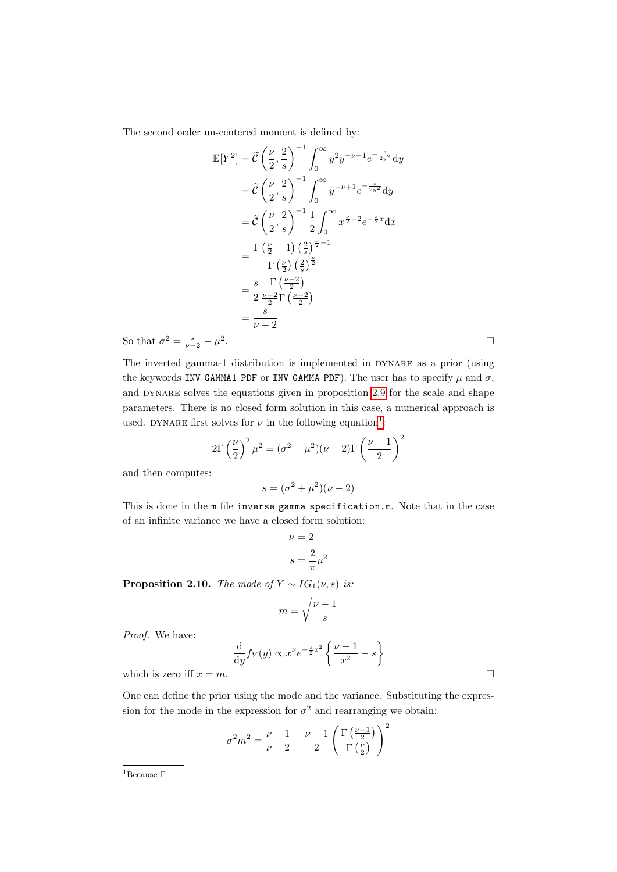The second order un-centered moment is defined by:

$$
\mathbb{E}[Y^2] = \tilde{C} \left(\frac{\nu}{2}, \frac{2}{s}\right)^{-1} \int_0^\infty y^2 y^{-\nu - 1} e^{-\frac{s}{2y^2}} dy
$$
  
\n
$$
= \tilde{C} \left(\frac{\nu}{2}, \frac{2}{s}\right)^{-1} \int_0^\infty y^{-\nu + 1} e^{-\frac{s}{2y^2}} dy
$$
  
\n
$$
= \tilde{C} \left(\frac{\nu}{2}, \frac{2}{s}\right)^{-1} \frac{1}{2} \int_0^\infty x^{\frac{\nu}{2} - 2} e^{-\frac{s}{2}x} dx
$$
  
\n
$$
= \frac{\Gamma\left(\frac{\nu}{2} - 1\right) \left(\frac{2}{s}\right)^{\frac{\nu}{2} - 1}}{\Gamma\left(\frac{\nu}{2}\right) \left(\frac{2}{s}\right)^{\frac{\nu}{2}}}
$$
  
\n
$$
= \frac{s}{2} \frac{\Gamma\left(\frac{\nu - 2}{2}\right)}{\frac{\nu - 2}{2} \Gamma\left(\frac{\nu - 2}{2}\right)}
$$
  
\n
$$
= \frac{s}{\nu - 2}
$$

So that  $\sigma^2 = \frac{s}{\nu - 2} - \mu^2$ 

The inverted gamma-1 distribution is implemented in dynare as a prior (using the keywords INV\_GAMMA1\_PDF or INV\_GAMMA\_PDF). The user has to specify  $\mu$  and  $\sigma$ , and DYNARE solves the equations given in proposition [2.9](#page-8-0) for the scale and shape parameters. There is no closed form solution in this case, a numerical approach is used. DYNARE first solves for  $\nu$  in the following equation<sup>[1](#page-9-0)</sup>:

$$
2\Gamma\left(\frac{\nu}{2}\right)^2\mu^2 = (\sigma^2 + \mu^2)(\nu - 2)\Gamma\left(\frac{\nu - 1}{2}\right)^2
$$

and then computes:

$$
s = (\sigma^2 + \mu^2)(\nu - 2)
$$

This is done in the m file inverse\_gamma\_specification.m. Note that in the case of an infinite variance we have a closed form solution:

$$
\nu = 2
$$

$$
s = \frac{2}{\pi}\mu^2
$$

**Proposition 2.10.** The mode of  $Y \sim IG_1(\nu, s)$  is:

$$
m=\sqrt{\frac{\nu-1}{s}}
$$

Proof. We have:

$$
\frac{d}{dy} f_Y(y) \propto x^{\nu} e^{-\frac{s}{2}x^2} \left\{ \frac{\nu - 1}{x^2} - s \right\}
$$
  
which is zero iff  $x = m$ .

One can define the prior using the mode and the variance. Substituting the expression for the mode in the expression for  $\sigma^2$  and rearranging we obtain:

$$
\sigma^2 m^2 = \frac{\nu - 1}{\nu - 2} - \frac{\nu - 1}{2} \left( \frac{\Gamma\left(\frac{\nu - 1}{2}\right)}{\Gamma\left(\frac{\nu}{2}\right)} \right)^2
$$

<span id="page-9-0"></span>

. The contract of the contract of the contract of the contract of the contract of the contract of the contract<br>The contract of the contract of the contract of the contract of the contract of the contract of the contract o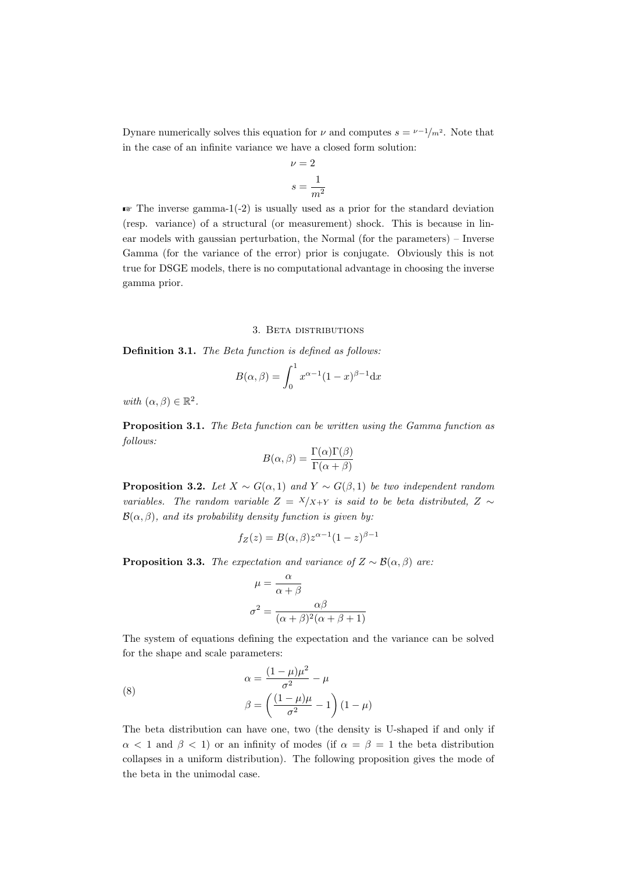Dynare numerically solves this equation for  $\nu$  and computes  $s = \nu^{-1}/m^2$ . Note that in the case of an infinite variance we have a closed form solution:

$$
\nu = 2
$$

$$
s = \frac{1}{m^2}
$$

 $\blacktriangleright$  The inverse gamma-1(-2) is usually used as a prior for the standard deviation (resp. variance) of a structural (or measurement) shock. This is because in linear models with gaussian perturbation, the Normal (for the parameters) – Inverse Gamma (for the variance of the error) prior is conjugate. Obviously this is not true for DSGE models, there is no computational advantage in choosing the inverse gamma prior.

#### 3. Beta distributions

Definition 3.1. The Beta function is defined as follows:

$$
B(\alpha, \beta) = \int_0^1 x^{\alpha - 1} (1 - x)^{\beta - 1} dx
$$

with  $(\alpha, \beta) \in \mathbb{R}^2$ .

Proposition 3.1. The Beta function can be written using the Gamma function as follows:

$$
B(\alpha, \beta) = \frac{\Gamma(\alpha)\Gamma(\beta)}{\Gamma(\alpha + \beta)}
$$

**Proposition 3.2.** Let  $X \sim G(\alpha, 1)$  and  $Y \sim G(\beta, 1)$  be two independent random variables. The random variable  $Z = X/X+Y$  is said to be beta distributed,  $Z \sim$  $\mathcal{B}(\alpha, \beta)$ , and its probability density function is given by:

$$
f_Z(z) = B(\alpha, \beta) z^{\alpha - 1} (1 - z)^{\beta - 1}
$$

**Proposition 3.3.** The expectation and variance of  $Z \sim \mathcal{B}(\alpha, \beta)$  are:

$$
\mu = \frac{\alpha}{\alpha + \beta}
$$

$$
\sigma^2 = \frac{\alpha\beta}{(\alpha + \beta)^2(\alpha + \beta + 1)}
$$

The system of equations defining the expectation and the variance can be solved for the shape and scale parameters:

(8)  

$$
\alpha = \frac{(1 - \mu)\mu^2}{\sigma^2} - \mu
$$

$$
\beta = \left(\frac{(1 - \mu)\mu}{\sigma^2} - 1\right)(1 - \mu)
$$

The beta distribution can have one, two (the density is U-shaped if and only if  $\alpha$  < 1 and  $\beta$  < 1) or an infinity of modes (if  $\alpha = \beta = 1$  the beta distribution collapses in a uniform distribution). The following proposition gives the mode of the beta in the unimodal case.